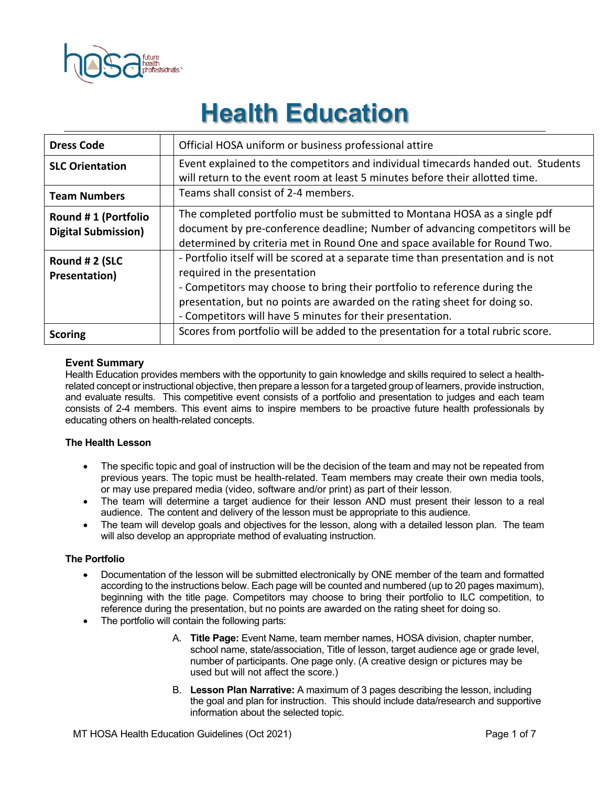

# **Health Education**

| <b>Dress Code</b>                                 | Official HOSA uniform or business professional attire                                                                                                                                                                                                                                                                                    |
|---------------------------------------------------|------------------------------------------------------------------------------------------------------------------------------------------------------------------------------------------------------------------------------------------------------------------------------------------------------------------------------------------|
| <b>SLC Orientation</b>                            | Event explained to the competitors and individual timecards handed out. Students<br>will return to the event room at least 5 minutes before their allotted time.                                                                                                                                                                         |
| <b>Team Numbers</b>                               | Teams shall consist of 2-4 members.                                                                                                                                                                                                                                                                                                      |
| Round #1 (Portfolio<br><b>Digital Submission)</b> | The completed portfolio must be submitted to Montana HOSA as a single pdf<br>document by pre-conference deadline; Number of advancing competitors will be<br>determined by criteria met in Round One and space available for Round Two.                                                                                                  |
| Round # 2 (SLC<br>Presentation)                   | - Portfolio itself will be scored at a separate time than presentation and is not<br>required in the presentation<br>- Competitors may choose to bring their portfolio to reference during the<br>presentation, but no points are awarded on the rating sheet for doing so.<br>- Competitors will have 5 minutes for their presentation. |
| <b>Scoring</b>                                    | Scores from portfolio will be added to the presentation for a total rubric score.                                                                                                                                                                                                                                                        |

#### **Event Summary**

Health Education provides members with the opportunity to gain knowledge and skills required to select a healthrelated concept or instructional objective, then prepare a lesson for a targeted group of learners, provide instruction, and evaluate results. This competitive event consists of a portfolio and presentation to judges and each team consists of 2-4 members. This event aims to inspire members to be proactive future health professionals by educating others on health-related concepts.

#### **The Health Lesson**

- The specific topic and goal of instruction will be the decision of the team and may not be repeated from previous years. The topic must be health-related. Team members may create their own media tools, or may use prepared media (video, software and/or print) as part of their lesson.
- The team will determine a target audience for their lesson AND must present their lesson to a real audience. The content and delivery of the lesson must be appropriate to this audience.
- The team will develop goals and objectives for the lesson, along with a detailed lesson plan. The team will also develop an appropriate method of evaluating instruction.

#### **The Portfolio**

- Documentation of the lesson will be submitted electronically by ONE member of the team and formatted according to the instructions below. Each page will be counted and numbered (up to 20 pages maximum), beginning with the title page. Competitors may choose to bring their portfolio to ILC competition, to reference during the presentation, but no points are awarded on the rating sheet for doing so.
- The portfolio will contain the following parts:
	- A. **Title Page:** Event Name, team member names, HOSA division, chapter number, school name, state/association, Title of lesson, target audience age or grade level, number of participants. One page only. (A creative design or pictures may be used but will not affect the score.)
	- B. **Lesson Plan Narrative:** A maximum of 3 pages describing the lesson, including the goal and plan for instruction. This should include data/research and supportive information about the selected topic.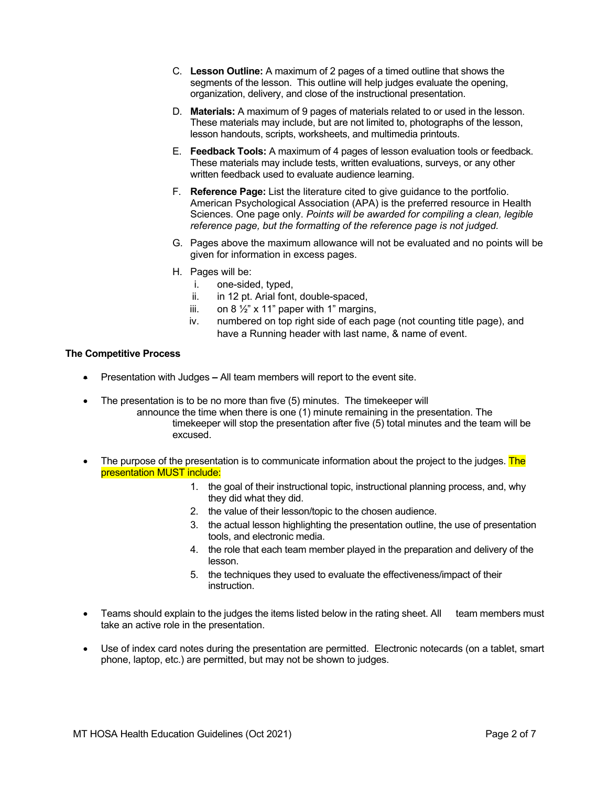- C. **Lesson Outline:** A maximum of 2 pages of a timed outline that shows the segments of the lesson. This outline will help judges evaluate the opening, organization, delivery, and close of the instructional presentation.
- D. **Materials:** A maximum of 9 pages of materials related to or used in the lesson. These materials may include, but are not limited to, photographs of the lesson, lesson handouts, scripts, worksheets, and multimedia printouts.
- E. **Feedback Tools:** A maximum of 4 pages of lesson evaluation tools or feedback. These materials may include tests, written evaluations, surveys, or any other written feedback used to evaluate audience learning.
- F. **Reference Page:** List the literature cited to give guidance to the portfolio. American Psychological Association (APA) is the preferred resource in Health Sciences. One page only. *Points will be awarded for compiling a clean, legible reference page, but the formatting of the reference page is not judged.*
- G. Pages above the maximum allowance will not be evaluated and no points will be given for information in excess pages.
- H. Pages will be:
	- i. one-sided, typed,
	- ii. in 12 pt. Arial font, double-spaced,
	- iii. on  $8\frac{1}{2}$ " x 11" paper with 1" margins,
	- iv. numbered on top right side of each page (not counting title page), and have a Running header with last name, & name of event.

#### **The Competitive Process**

- Presentation with Judges **–** All team members will report to the event site.
- The presentation is to be no more than five (5) minutes. The timekeeper will
	- announce the time when there is one (1) minute remaining in the presentation. The timekeeper will stop the presentation after five (5) total minutes and the team will be excused.
- The purpose of the presentation is to communicate information about the project to the judges. The presentation MUST include:
	- 1. the goal of their instructional topic, instructional planning process, and, why they did what they did.
	- 2. the value of their lesson/topic to the chosen audience.
	- 3. the actual lesson highlighting the presentation outline, the use of presentation tools, and electronic media.
	- 4. the role that each team member played in the preparation and delivery of the lesson.
	- 5. the techniques they used to evaluate the effectiveness/impact of their instruction.
- Teams should explain to the judges the items listed below in the rating sheet. All team members must take an active role in the presentation.
- Use of index card notes during the presentation are permitted. Electronic notecards (on a tablet, smart phone, laptop, etc.) are permitted, but may not be shown to judges.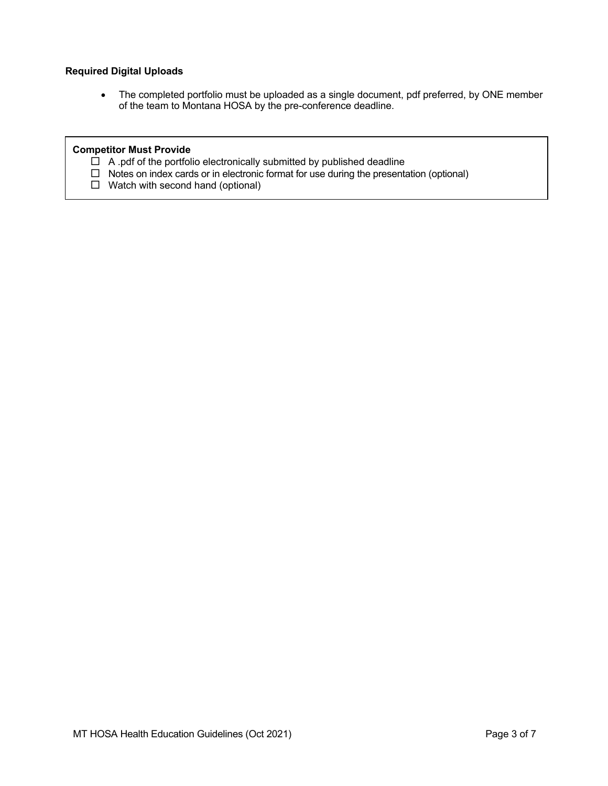### **Required Digital Uploads**

• The completed portfolio must be uploaded as a single document, pdf preferred, by ONE member of the team to Montana HOSA by the pre-conference deadline.

## **Competitor Must Provide**

- $\Box$  A .pdf of the portfolio electronically submitted by published deadline
- $\Box$  Notes on index cards or in electronic format for use during the presentation (optional)
- $\Box$  Watch with second hand (optional)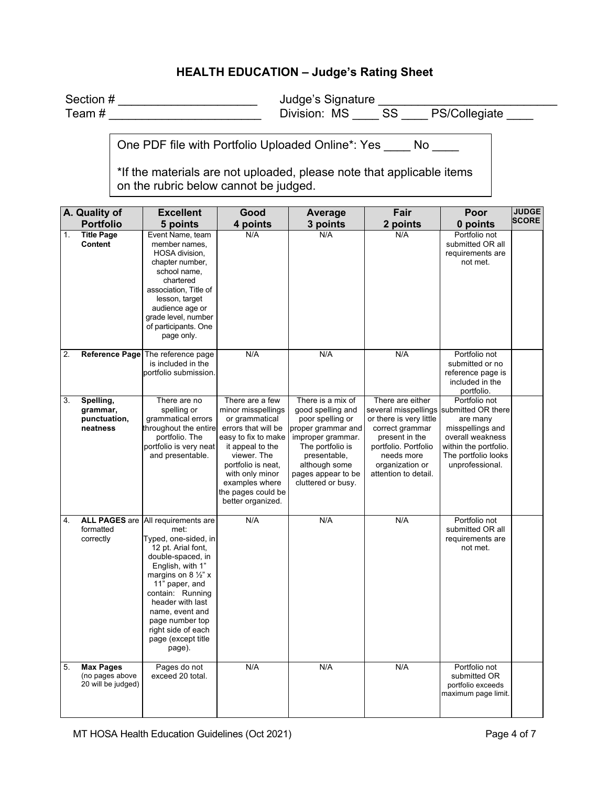# **HEALTH EDUCATION – Judge's Rating Sheet**

| Section # | Judge's Signature |     |               |
|-----------|-------------------|-----|---------------|
| Team#     | Division: MS      | -SS | PS/Collegiate |

One PDF file with Portfolio Uploaded Online\*: Yes \_\_\_\_ No \_\_\_\_

\*If the materials are not uploaded, please note that applicable items on the rubric below cannot be judged.

|    | A. Quality of                                             | <b>Excellent</b>                                                                                                                                                                                                                                                                                                          | Good                                                                                                                                                                                                                                           | Average                                                                                                                                                                                                | Fair                                                                                                                                                                                                         | Poor                                                                                                                                 | <b>JUDGE</b> |
|----|-----------------------------------------------------------|---------------------------------------------------------------------------------------------------------------------------------------------------------------------------------------------------------------------------------------------------------------------------------------------------------------------------|------------------------------------------------------------------------------------------------------------------------------------------------------------------------------------------------------------------------------------------------|--------------------------------------------------------------------------------------------------------------------------------------------------------------------------------------------------------|--------------------------------------------------------------------------------------------------------------------------------------------------------------------------------------------------------------|--------------------------------------------------------------------------------------------------------------------------------------|--------------|
|    | <b>Portfolio</b>                                          | 5 points                                                                                                                                                                                                                                                                                                                  | 4 points                                                                                                                                                                                                                                       | 3 points                                                                                                                                                                                               | 2 points                                                                                                                                                                                                     | 0 points                                                                                                                             | <b>SCORE</b> |
| 1. | <b>Title Page</b><br><b>Content</b>                       | Event Name, team<br>member names,<br>HOSA division,<br>chapter number,<br>school name,<br>chartered<br>association, Title of<br>lesson, target<br>audience age or<br>grade level, number<br>of participants. One<br>page only.                                                                                            | N/A                                                                                                                                                                                                                                            | N/A                                                                                                                                                                                                    | N/A                                                                                                                                                                                                          | Portfolio not<br>submitted OR all<br>requirements are<br>not met.                                                                    |              |
| 2. |                                                           | Reference Page The reference page<br>is included in the<br>portfolio submission.                                                                                                                                                                                                                                          | N/A                                                                                                                                                                                                                                            | N/A                                                                                                                                                                                                    | N/A                                                                                                                                                                                                          | Portfolio not<br>submitted or no<br>reference page is<br>included in the<br>portfolio.                                               |              |
| 3. | Spelling,<br>grammar,<br>punctuation,<br>neatness         | There are no<br>spelling or<br>grammatical errors<br>throughout the entire<br>portfolio. The<br>portfolio is very neat<br>and presentable.                                                                                                                                                                                | There are a few<br>minor misspellings<br>or grammatical<br>errors that will be<br>easy to fix to make<br>it appeal to the<br>viewer. The<br>portfolio is neat,<br>with only minor<br>examples where<br>the pages could be<br>better organized. | There is a mix of<br>good spelling and<br>poor spelling or<br>proper grammar and<br>improper grammar.<br>The portfolio is<br>presentable,<br>although some<br>pages appear to be<br>cluttered or busy. | There are either<br>several misspellings submitted OR there<br>or there is very little<br>correct grammar<br>present in the<br>portfolio. Portfolio<br>needs more<br>organization or<br>attention to detail. | Portfolio not<br>are many<br>misspellings and<br>overall weakness<br>within the portfolio.<br>The portfolio looks<br>unprofessional. |              |
| 4. | formatted<br>correctly                                    | ALL PAGES are All requirements are<br>met:<br>Typed, one-sided, in<br>12 pt. Arial font,<br>double-spaced, in<br>English, with 1"<br>margins on 8 $\frac{1}{2}$ " x<br>11" paper, and<br>contain: Running<br>header with last<br>name, event and<br>page number top<br>right side of each<br>page (except title<br>page). | N/A                                                                                                                                                                                                                                            | N/A                                                                                                                                                                                                    | N/A                                                                                                                                                                                                          | Portfolio not<br>submitted OR all<br>requirements are<br>not met.                                                                    |              |
| 5. | <b>Max Pages</b><br>(no pages above<br>20 will be judged) | Pages do not<br>exceed 20 total.                                                                                                                                                                                                                                                                                          | N/A                                                                                                                                                                                                                                            | N/A                                                                                                                                                                                                    | N/A                                                                                                                                                                                                          | Portfolio not<br>submitted OR<br>portfolio exceeds<br>maximum page limit.                                                            |              |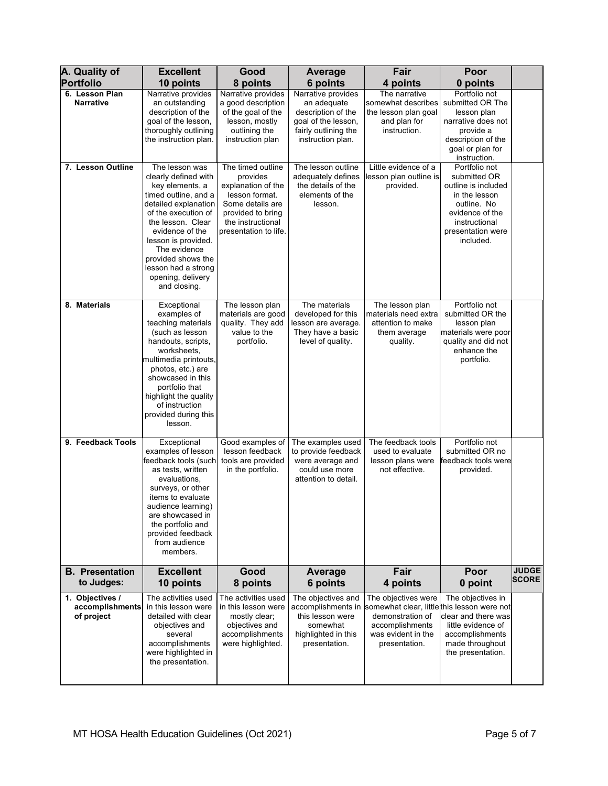| A. Quality of                                    | <b>Excellent</b>                                                                                                                                                                                                                                                                                  | Good                                                                                                                                                         | <b>Average</b>                                                                                                              | Fair                                                                                                                                            | Poor                                                                                                                                                       |                              |
|--------------------------------------------------|---------------------------------------------------------------------------------------------------------------------------------------------------------------------------------------------------------------------------------------------------------------------------------------------------|--------------------------------------------------------------------------------------------------------------------------------------------------------------|-----------------------------------------------------------------------------------------------------------------------------|-------------------------------------------------------------------------------------------------------------------------------------------------|------------------------------------------------------------------------------------------------------------------------------------------------------------|------------------------------|
| <b>Portfolio</b>                                 | 10 points                                                                                                                                                                                                                                                                                         | 8 points                                                                                                                                                     | 6 points                                                                                                                    | 4 points                                                                                                                                        | 0 points                                                                                                                                                   |                              |
| 6. Lesson Plan<br><b>Narrative</b>               | Narrative provides<br>an outstanding<br>description of the<br>goal of the lesson,<br>thoroughly outlining<br>the instruction plan.                                                                                                                                                                | Narrative provides<br>a good description<br>of the goal of the<br>lesson, mostly<br>outlining the<br>instruction plan                                        | Narrative provides<br>an adequate<br>description of the<br>goal of the lesson,<br>fairly outlining the<br>instruction plan. | The narrative<br>somewhat describes<br>the lesson plan goal<br>and plan for<br>instruction.                                                     | Portfolio not<br>submitted OR The<br>lesson plan<br>narrative does not<br>provide a<br>description of the<br>goal or plan for<br>instruction.              |                              |
| 7. Lesson Outline                                | The lesson was<br>clearly defined with<br>key elements, a<br>timed outline, and a<br>detailed explanation<br>of the execution of<br>the lesson. Clear<br>evidence of the<br>lesson is provided.<br>The evidence<br>provided shows the<br>lesson had a strong<br>opening, delivery<br>and closing. | The timed outline<br>provides<br>explanation of the<br>lesson format.<br>Some details are<br>provided to bring<br>the instructional<br>presentation to life. | The lesson outline<br>adequately defines<br>the details of the<br>elements of the<br>lesson.                                | Little evidence of a<br>lesson plan outline is<br>provided.                                                                                     | Portfolio not<br>submitted OR<br>outline is included<br>in the lesson<br>outline. No<br>evidence of the<br>instructional<br>presentation were<br>included. |                              |
| 8. Materials                                     | Exceptional<br>examples of<br>teaching materials<br>(such as lesson<br>handouts, scripts,<br>worksheets,<br>multimedia printouts,<br>photos, etc.) are<br>showcased in this<br>portfolio that<br>highlight the quality<br>of instruction<br>provided during this<br>lesson.                       | The lesson plan<br>materials are good<br>quality. They add<br>value to the<br>portfolio.                                                                     | The materials<br>developed for this<br>lesson are average.<br>They have a basic<br>level of quality.                        | The lesson plan<br>materials need extra<br>attention to make<br>them average<br>quality.                                                        | Portfolio not<br>submitted OR the<br>lesson plan<br>materials were poor<br>quality and did not<br>enhance the<br>portfolio.                                |                              |
| 9. Feedback Tools                                | Exceptional<br>examples of lesson<br>feedback tools (such<br>as tests, written<br>evaluations,<br>surveys, or other<br>items to evaluate<br>audience learning)<br>are showcased in<br>the portfolio and<br>provided feedback<br>from audience<br>members.                                         | Good examples of<br>lesson feedback<br>tools are provided<br>in the portfolio.                                                                               | The examples used<br>to provide feedback<br>were average and<br>could use more<br>attention to detail.                      | The feedback tools<br>used to evaluate<br>lesson plans were<br>not effective.                                                                   | Portfolio not<br>submitted OR no<br>feedback tools were<br>provided.                                                                                       |                              |
| <b>B.</b> Presentation<br>to Judges:             | <b>Excellent</b><br>10 points                                                                                                                                                                                                                                                                     | Good<br>8 points                                                                                                                                             | <b>Average</b><br>6 points                                                                                                  | Fair<br>4 points                                                                                                                                | Poor<br>0 point                                                                                                                                            | <b>JUDGE</b><br><b>SCORE</b> |
| 1. Objectives /<br>accomplishments<br>of project | The activities used<br>in this lesson were<br>detailed with clear<br>objectives and<br>several<br>accomplishments<br>were highlighted in<br>the presentation.                                                                                                                                     | The activities used<br>in this lesson were<br>mostly clear;<br>objectives and<br>accomplishments<br>were highlighted.                                        | The objectives and<br>accomplishments in<br>this lesson were<br>somewhat<br>highlighted in this<br>presentation.            | The objectives were<br>somewhat clear, littlethis lesson were not<br>demonstration of<br>accomplishments<br>was evident in the<br>presentation. | The objectives in<br>clear and there was<br>little evidence of<br>accomplishments<br>made throughout<br>the presentation.                                  |                              |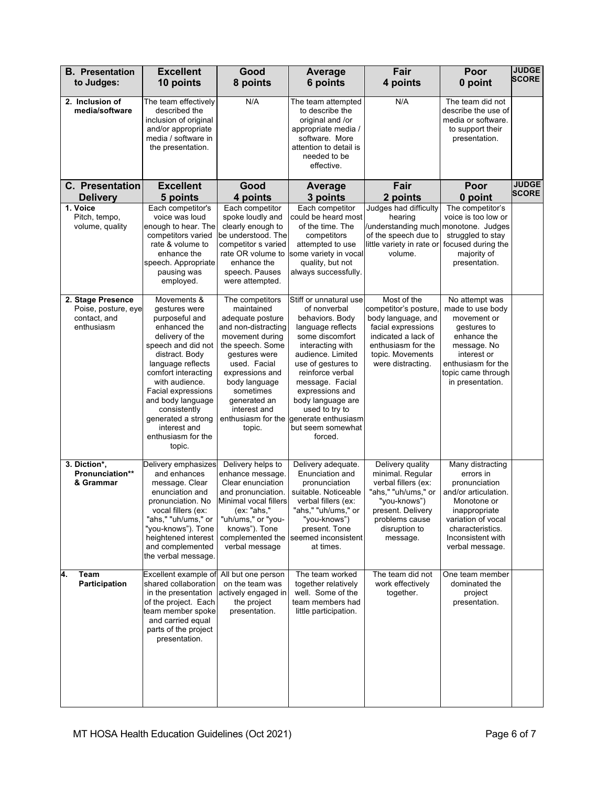| <b>B.</b> Presentation                                                 | <b>Excellent</b>                                                                                                                                                                                                                                                                                                         | Good                                                                                                                                                                                                                                                              | <b>Average</b>                                                                                                                                                                                                                                                                                                           | Fair                                                                                                                                                                   | Poor                                                                                                                                                                                     | <b>JUDGE</b>                 |
|------------------------------------------------------------------------|--------------------------------------------------------------------------------------------------------------------------------------------------------------------------------------------------------------------------------------------------------------------------------------------------------------------------|-------------------------------------------------------------------------------------------------------------------------------------------------------------------------------------------------------------------------------------------------------------------|--------------------------------------------------------------------------------------------------------------------------------------------------------------------------------------------------------------------------------------------------------------------------------------------------------------------------|------------------------------------------------------------------------------------------------------------------------------------------------------------------------|------------------------------------------------------------------------------------------------------------------------------------------------------------------------------------------|------------------------------|
| to Judges:                                                             | 10 points                                                                                                                                                                                                                                                                                                                | 8 points                                                                                                                                                                                                                                                          | 6 points                                                                                                                                                                                                                                                                                                                 | 4 points                                                                                                                                                               | 0 point                                                                                                                                                                                  | <b>SCORE</b>                 |
| 2. Inclusion of<br>media/software                                      | The team effectively<br>described the<br>inclusion of original<br>and/or appropriate<br>media / software in<br>the presentation.                                                                                                                                                                                         | N/A                                                                                                                                                                                                                                                               | The team attempted<br>to describe the<br>original and /or<br>appropriate media /<br>software. More<br>attention to detail is<br>needed to be<br>effective.                                                                                                                                                               | N/A                                                                                                                                                                    | The team did not<br>describe the use of<br>media or software.<br>to support their<br>presentation.                                                                                       |                              |
| <b>C.</b> Presentation<br><b>Delivery</b>                              | <b>Excellent</b><br>5 points                                                                                                                                                                                                                                                                                             | Good<br>4 points                                                                                                                                                                                                                                                  | <b>Average</b><br>3 points                                                                                                                                                                                                                                                                                               | Fair<br>2 points                                                                                                                                                       | Poor<br>0 point                                                                                                                                                                          | <b>JUDGE</b><br><b>SCORE</b> |
| 1. Voice<br>Pitch, tempo,<br>volume, quality                           | Each competitor's<br>voice was loud<br>enough to hear. The<br>competitors varied<br>rate & volume to<br>enhance the<br>speech. Appropriate<br>pausing was<br>employed.                                                                                                                                                   | Each competitor<br>spoke loudly and<br>clearly enough to<br>be understood. The<br>competitor s varied<br>rate OR volume to<br>enhance the<br>speech. Pauses<br>were attempted.                                                                                    | Each competitor<br>could be heard most<br>of the time. The<br>competitors<br>attempted to use<br>some variety in vocal<br>quality, but not<br>always successfully.                                                                                                                                                       | Judges had difficulty<br>hearing<br>/understanding much monotone. Judges<br>of the speech due to<br>little variety in rate or focused during the<br>volume.            | The competitor's<br>voice is too low or<br>struggled to stay<br>majority of<br>presentation.                                                                                             |                              |
| 2. Stage Presence<br>Poise, posture, eye<br>contact, and<br>enthusiasm | Movements &<br>gestures were<br>purposeful and<br>enhanced the<br>delivery of the<br>speech and did not<br>distract. Body<br>language reflects<br>comfort interacting<br>with audience.<br>Facial expressions<br>and body language<br>consistently<br>generated a strong<br>interest and<br>enthusiasm for the<br>topic. | The competitors<br>maintained<br>adequate posture<br>and non-distracting<br>movement during<br>the speech. Some<br>gestures were<br>used. Facial<br>expressions and<br>body language<br>sometimes<br>generated an<br>interest and<br>enthusiasm for the<br>topic. | Stiff or unnatural use<br>of nonverbal<br>behaviors. Body<br>language reflects<br>some discomfort<br>interacting with<br>audience. Limited<br>use of gestures to<br>reinforce verbal<br>message. Facial<br>expressions and<br>body language are<br>used to try to<br>generate enthusiasm<br>but seem somewhat<br>forced. | Most of the<br>competitor's posture<br>body language, and<br>facial expressions<br>indicated a lack of<br>enthusiasm for the<br>topic. Movements<br>were distracting.  | No attempt was<br>made to use body<br>movement or<br>gestures to<br>enhance the<br>message. No<br>interest or<br>enthusiasm for the<br>topic came through<br>in presentation.            |                              |
| 3. Diction*,<br>Pronunciation**<br>& Grammar                           | Delivery emphasizes<br>and enhances<br>message. Clear<br>enunciation and<br>pronunciation. No<br>vocal fillers (ex:<br>"ahs," "uh/ums," or<br>"you-knows"). Tone<br>heightened interest<br>and complemented<br>the verbal message.                                                                                       | Delivery helps to<br>enhance message.<br>Clear enunciation<br>and pronunciation.<br>Minimal vocal fillers<br>(ex: "ahs,"<br>"uh/ums," or "you-<br>knows"). Tone<br>complemented the<br>verbal message                                                             | Delivery adequate.<br>Enunciation and<br>pronunciation<br>suitable. Noticeable<br>verbal fillers (ex:<br>"ahs," "uh/ums," or<br>"you-knows")<br>present. Tone<br>seemed inconsistent<br>at times.                                                                                                                        | Delivery quality<br>minimal. Regular<br>verbal fillers (ex:<br>"ahs," "uh/ums," or<br>"you-knows")<br>present. Delivery<br>problems cause<br>disruption to<br>message. | Many distracting<br>errors in<br>pronunciation<br>and/or articulation.<br>Monotone or<br>inappropriate<br>variation of vocal<br>characteristics.<br>Inconsistent with<br>verbal message. |                              |
| 4.<br>Team<br><b>Participation</b>                                     | Excellent example of<br>shared collaboration<br>in the presentation<br>of the project. Each<br>team member spoke<br>and carried equal<br>parts of the project<br>presentation.                                                                                                                                           | All but one person<br>on the team was<br>actively engaged in<br>the project<br>presentation.                                                                                                                                                                      | The team worked<br>together relatively<br>well. Some of the<br>team members had<br>little participation.                                                                                                                                                                                                                 | The team did not<br>work effectively<br>together.                                                                                                                      | One team member<br>dominated the<br>project<br>presentation.                                                                                                                             |                              |